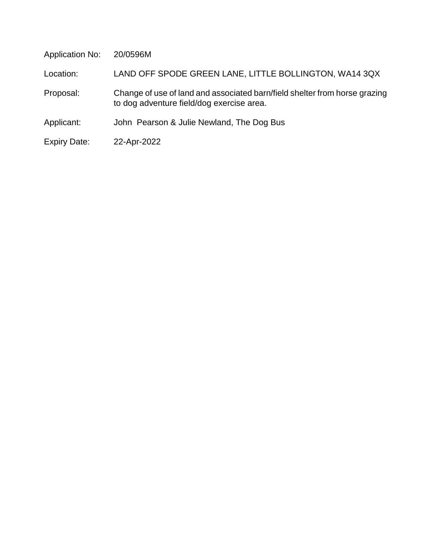Application No: 20/0596M

Location: LAND OFF SPODE GREEN LANE, LITTLE BOLLINGTON, WA14 3QX

- Proposal: Change of use of land and associated barn/field shelter from horse grazing to dog adventure field/dog exercise area.
- Applicant: John Pearson & Julie Newland, The Dog Bus
- Expiry Date: 22-Apr-2022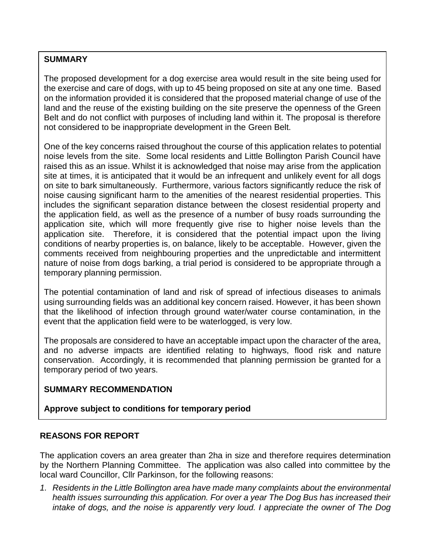# **SUMMARY**

The proposed development for a dog exercise area would result in the site being used for the exercise and care of dogs, with up to 45 being proposed on site at any one time. Based on the information provided it is considered that the proposed material change of use of the land and the reuse of the existing building on the site preserve the openness of the Green Belt and do not conflict with purposes of including land within it. The proposal is therefore not considered to be inappropriate development in the Green Belt.

One of the key concerns raised throughout the course of this application relates to potential noise levels from the site. Some local residents and Little Bollington Parish Council have raised this as an issue. Whilst it is acknowledged that noise may arise from the application site at times, it is anticipated that it would be an infrequent and unlikely event for all dogs on site to bark simultaneously. Furthermore, various factors significantly reduce the risk of noise causing significant harm to the amenities of the nearest residential properties. This includes the significant separation distance between the closest residential property and the application field, as well as the presence of a number of busy roads surrounding the application site, which will more frequently give rise to higher noise levels than the application site. Therefore, it is considered that the potential impact upon the living conditions of nearby properties is, on balance, likely to be acceptable. However, given the comments received from neighbouring properties and the unpredictable and intermittent nature of noise from dogs barking, a trial period is considered to be appropriate through a temporary planning permission.

The potential contamination of land and risk of spread of infectious diseases to animals using surrounding fields was an additional key concern raised. However, it has been shown that the likelihood of infection through ground water/water course contamination, in the event that the application field were to be waterlogged, is very low.

The proposals are considered to have an acceptable impact upon the character of the area, and no adverse impacts are identified relating to highways, flood risk and nature conservation. Accordingly, it is recommended that planning permission be granted for a temporary period of two years.

# **SUMMARY RECOMMENDATION**

# **Approve subject to conditions for temporary period**

# **REASONS FOR REPORT**

The application covers an area greater than 2ha in size and therefore requires determination by the Northern Planning Committee. The application was also called into committee by the local ward Councillor, Cllr Parkinson, for the following reasons:

*1. Residents in the Little Bollington area have made many complaints about the environmental health issues surrounding this application. For over a year The Dog Bus has increased their intake of dogs, and the noise is apparently very loud. I appreciate the owner of The Dog*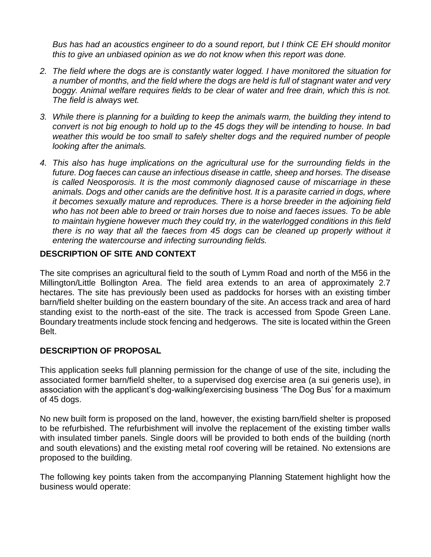*Bus has had an acoustics engineer to do a sound report, but I think CE EH should monitor this to give an unbiased opinion as we do not know when this report was done.*

- *2. The field where the dogs are is constantly water logged. I have monitored the situation for a number of months, and the field where the dogs are held is full of stagnant water and very boggy. Animal welfare requires fields to be clear of water and free drain, which this is not. The field is always wet.*
- *3. While there is planning for a building to keep the animals warm, the building they intend to convert is not big enough to hold up to the 45 dogs they will be intending to house. In bad weather this would be too small to safely shelter dogs and the required number of people looking after the animals.*
- *4. This also has huge implications on the agricultural use for the surrounding fields in the future. Dog faeces can cause an infectious disease in cattle, sheep and horses. The disease is called Neosporosis. It is the most commonly diagnosed cause of miscarriage in these animals. Dogs and other canids are the definitive host. It is a parasite carried in dogs, where it becomes sexually mature and reproduces. There is a horse breeder in the adjoining field who has not been able to breed or train horses due to noise and faeces issues. To be able to maintain hygiene however much they could try, in the waterlogged conditions in this field there is no way that all the faeces from 45 dogs can be cleaned up properly without it entering the watercourse and infecting surrounding fields.*

### **DESCRIPTION OF SITE AND CONTEXT**

The site comprises an agricultural field to the south of Lymm Road and north of the M56 in the Millington/Little Bollington Area. The field area extends to an area of approximately 2.7 hectares. The site has previously been used as paddocks for horses with an existing timber barn/field shelter building on the eastern boundary of the site. An access track and area of hard standing exist to the north-east of the site. The track is accessed from Spode Green Lane. Boundary treatments include stock fencing and hedgerows. The site is located within the Green Belt.

#### **DESCRIPTION OF PROPOSAL**

This application seeks full planning permission for the change of use of the site, including the associated former barn/field shelter, to a supervised dog exercise area (a sui generis use), in association with the applicant's dog-walking/exercising business 'The Dog Bus' for a maximum of 45 dogs.

No new built form is proposed on the land, however, the existing barn/field shelter is proposed to be refurbished. The refurbishment will involve the replacement of the existing timber walls with insulated timber panels. Single doors will be provided to both ends of the building (north and south elevations) and the existing metal roof covering will be retained. No extensions are proposed to the building.

The following key points taken from the accompanying Planning Statement highlight how the business would operate: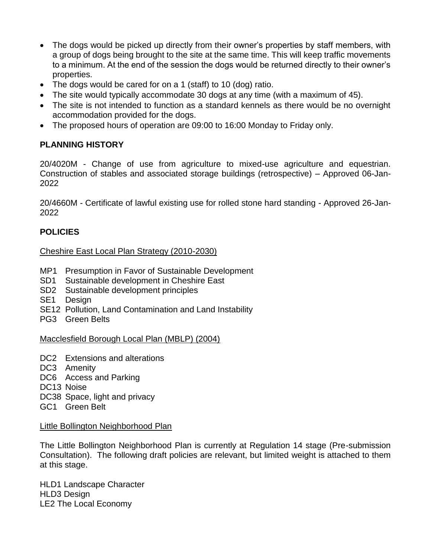- The dogs would be picked up directly from their owner's properties by staff members, with a group of dogs being brought to the site at the same time. This will keep traffic movements to a minimum. At the end of the session the dogs would be returned directly to their owner's properties.
- The dogs would be cared for on a 1 (staff) to 10 (dog) ratio.
- The site would typically accommodate 30 dogs at any time (with a maximum of 45).
- The site is not intended to function as a standard kennels as there would be no overnight accommodation provided for the dogs.
- The proposed hours of operation are 09:00 to 16:00 Monday to Friday only.

# **PLANNING HISTORY**

20/4020M - Change of use from agriculture to mixed-use agriculture and equestrian. Construction of stables and associated storage buildings (retrospective) – Approved 06-Jan-2022

20/4660M - Certificate of lawful existing use for rolled stone hard standing - Approved 26-Jan-2022

# **POLICIES**

# Cheshire East Local Plan Strategy (2010-2030)

- MP1 Presumption in Favor of Sustainable Development
- SD1 Sustainable development in Cheshire East
- SD2 Sustainable development principles
- SE1 Design
- SE12 Pollution, Land Contamination and Land Instability
- PG3 Green Belts

#### Macclesfield Borough Local Plan (MBLP) (2004)

- DC<sub>2</sub> Extensions and alterations
- DC3 Amenity
- DC6 Access and Parking
- DC13 Noise
- DC38 Space, light and privacy
- GC1 Green Belt

#### Little Bollington Neighborhood Plan

The Little Bollington Neighborhood Plan is currently at Regulation 14 stage (Pre-submission Consultation). The following draft policies are relevant, but limited weight is attached to them at this stage.

HLD1 Landscape Character HLD3 Design LE2 The Local Economy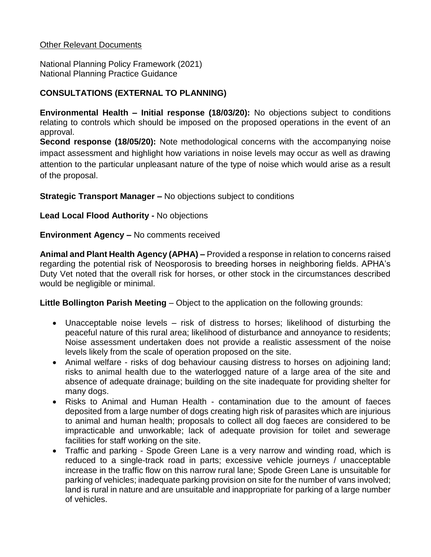### Other Relevant Documents

National Planning Policy Framework (2021) National Planning Practice Guidance

# **CONSULTATIONS (EXTERNAL TO PLANNING)**

**Environmental Health – Initial response (18/03/20):** No objections subject to conditions relating to controls which should be imposed on the proposed operations in the event of an approval.

**Second response (18/05/20):** Note methodological concerns with the accompanying noise impact assessment and highlight how variations in noise levels may occur as well as drawing attention to the particular unpleasant nature of the type of noise which would arise as a result of the proposal.

**Strategic Transport Manager –** No objections subject to conditions

### **Lead Local Flood Authority -** No objections

**Environment Agency –** No comments received

**Animal and Plant Health Agency (APHA) –** Provided a response in relation to concerns raised regarding the potential risk of Neosporosis to breeding horses in neighboring fields. APHA's Duty Vet noted that the overall risk for horses, or other stock in the circumstances described would be negligible or minimal.

**Little Bollington Parish Meeting** – Object to the application on the following grounds:

- Unacceptable noise levels risk of distress to horses; likelihood of disturbing the peaceful nature of this rural area; likelihood of disturbance and annoyance to residents; Noise assessment undertaken does not provide a realistic assessment of the noise levels likely from the scale of operation proposed on the site.
- Animal welfare risks of dog behaviour causing distress to horses on adjoining land; risks to animal health due to the waterlogged nature of a large area of the site and absence of adequate drainage; building on the site inadequate for providing shelter for many dogs.
- Risks to Animal and Human Health contamination due to the amount of faeces deposited from a large number of dogs creating high risk of parasites which are injurious to animal and human health; proposals to collect all dog faeces are considered to be impracticable and unworkable; lack of adequate provision for toilet and sewerage facilities for staff working on the site.
- Traffic and parking Spode Green Lane is a very narrow and winding road, which is reduced to a single-track road in parts; excessive vehicle journeys / unacceptable increase in the traffic flow on this narrow rural lane; Spode Green Lane is unsuitable for parking of vehicles; inadequate parking provision on site for the number of vans involved; land is rural in nature and are unsuitable and inappropriate for parking of a large number of vehicles.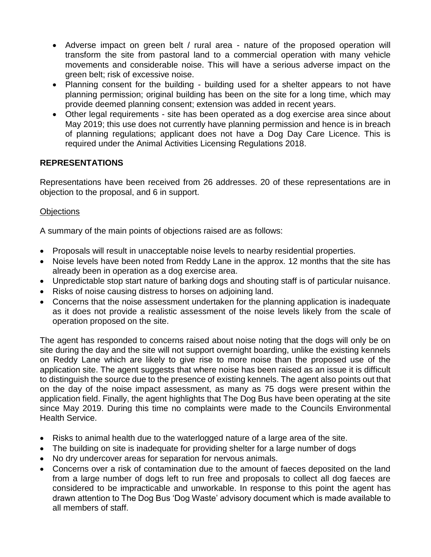- Adverse impact on green belt / rural area nature of the proposed operation will transform the site from pastoral land to a commercial operation with many vehicle movements and considerable noise. This will have a serious adverse impact on the green belt; risk of excessive noise.
- Planning consent for the building building used for a shelter appears to not have planning permission; original building has been on the site for a long time, which may provide deemed planning consent; extension was added in recent years.
- Other legal requirements site has been operated as a dog exercise area since about May 2019; this use does not currently have planning permission and hence is in breach of planning regulations; applicant does not have a Dog Day Care Licence. This is required under the Animal Activities Licensing Regulations 2018.

# **REPRESENTATIONS**

Representations have been received from 26 addresses. 20 of these representations are in objection to the proposal, and 6 in support.

# **Objections**

A summary of the main points of objections raised are as follows:

- Proposals will result in unacceptable noise levels to nearby residential properties.
- Noise levels have been noted from Reddy Lane in the approx. 12 months that the site has already been in operation as a dog exercise area.
- Unpredictable stop start nature of barking dogs and shouting staff is of particular nuisance.
- Risks of noise causing distress to horses on adjoining land.
- Concerns that the noise assessment undertaken for the planning application is inadequate as it does not provide a realistic assessment of the noise levels likely from the scale of operation proposed on the site.

The agent has responded to concerns raised about noise noting that the dogs will only be on site during the day and the site will not support overnight boarding, unlike the existing kennels on Reddy Lane which are likely to give rise to more noise than the proposed use of the application site. The agent suggests that where noise has been raised as an issue it is difficult to distinguish the source due to the presence of existing kennels. The agent also points out that on the day of the noise impact assessment, as many as 75 dogs were present within the application field. Finally, the agent highlights that The Dog Bus have been operating at the site since May 2019. During this time no complaints were made to the Councils Environmental Health Service.

- Risks to animal health due to the waterlogged nature of a large area of the site.
- The building on site is inadequate for providing shelter for a large number of dogs
- No dry undercover areas for separation for nervous animals.
- Concerns over a risk of contamination due to the amount of faeces deposited on the land from a large number of dogs left to run free and proposals to collect all dog faeces are considered to be impracticable and unworkable. In response to this point the agent has drawn attention to The Dog Bus 'Dog Waste' advisory document which is made available to all members of staff.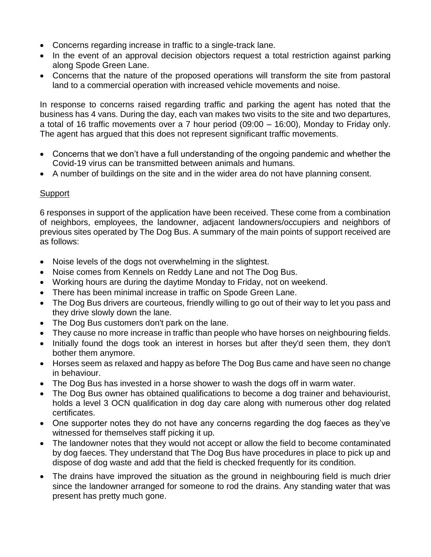- Concerns regarding increase in traffic to a single-track lane.
- In the event of an approval decision objectors request a total restriction against parking along Spode Green Lane.
- Concerns that the nature of the proposed operations will transform the site from pastoral land to a commercial operation with increased vehicle movements and noise.

In response to concerns raised regarding traffic and parking the agent has noted that the business has 4 vans. During the day, each van makes two visits to the site and two departures, a total of 16 traffic movements over a 7 hour period (09:00 – 16:00), Monday to Friday only. The agent has argued that this does not represent significant traffic movements.

- Concerns that we don't have a full understanding of the ongoing pandemic and whether the Covid-19 virus can be transmitted between animals and humans.
- A number of buildings on the site and in the wider area do not have planning consent.

### **Support**

6 responses in support of the application have been received. These come from a combination of neighbors, employees, the landowner, adjacent landowners/occupiers and neighbors of previous sites operated by The Dog Bus. A summary of the main points of support received are as follows:

- Noise levels of the dogs not overwhelming in the slightest.
- Noise comes from Kennels on Reddy Lane and not The Dog Bus.
- Working hours are during the daytime Monday to Friday, not on weekend.
- There has been minimal increase in traffic on Spode Green Lane.
- The Dog Bus drivers are courteous, friendly willing to go out of their way to let you pass and they drive slowly down the lane.
- The Dog Bus customers don't park on the lane.
- They cause no more increase in traffic than people who have horses on neighbouring fields.
- Initially found the dogs took an interest in horses but after they'd seen them, they don't bother them anymore.
- Horses seem as relaxed and happy as before The Dog Bus came and have seen no change in behaviour.
- The Dog Bus has invested in a horse shower to wash the dogs off in warm water.
- The Dog Bus owner has obtained qualifications to become a dog trainer and behaviourist, holds a level 3 OCN qualification in dog day care along with numerous other dog related certificates.
- One supporter notes they do not have any concerns regarding the dog faeces as they've witnessed for themselves staff picking it up.
- The landowner notes that they would not accept or allow the field to become contaminated by dog faeces. They understand that The Dog Bus have procedures in place to pick up and dispose of dog waste and add that the field is checked frequently for its condition.
- The drains have improved the situation as the ground in neighbouring field is much drier since the landowner arranged for someone to rod the drains. Any standing water that was present has pretty much gone.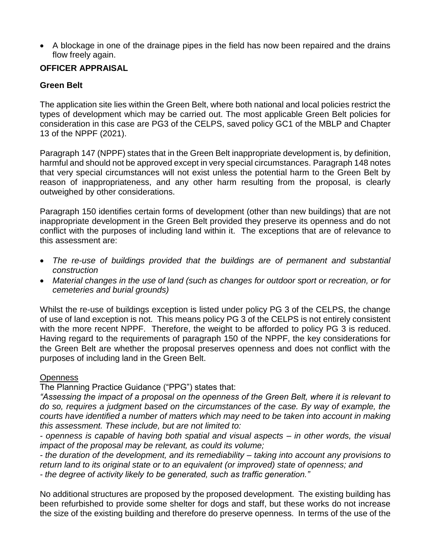A blockage in one of the drainage pipes in the field has now been repaired and the drains flow freely again.

# **OFFICER APPRAISAL**

### **Green Belt**

The application site lies within the Green Belt, where both national and local policies restrict the types of development which may be carried out. The most applicable Green Belt policies for consideration in this case are PG3 of the CELPS, saved policy GC1 of the MBLP and Chapter 13 of the NPPF (2021).

Paragraph 147 (NPPF) states that in the Green Belt inappropriate development is, by definition, harmful and should not be approved except in very special circumstances. Paragraph 148 notes that very special circumstances will not exist unless the potential harm to the Green Belt by reason of inappropriateness, and any other harm resulting from the proposal, is clearly outweighed by other considerations.

Paragraph 150 identifies certain forms of development (other than new buildings) that are not inappropriate development in the Green Belt provided they preserve its openness and do not conflict with the purposes of including land within it. The exceptions that are of relevance to this assessment are:

- The re-use of buildings provided that the buildings are of permanent and substantial *construction*
- *Material changes in the use of land (such as changes for outdoor sport or recreation, or for cemeteries and burial grounds)*

Whilst the re-use of buildings exception is listed under policy PG 3 of the CELPS, the change of use of land exception is not. This means policy PG 3 of the CELPS is not entirely consistent with the more recent NPPF. Therefore, the weight to be afforded to policy PG 3 is reduced. Having regard to the requirements of paragraph 150 of the NPPF, the key considerations for the Green Belt are whether the proposal preserves openness and does not conflict with the purposes of including land in the Green Belt.

#### **Openness**

The Planning Practice Guidance ("PPG") states that:

*"Assessing the impact of a proposal on the openness of the Green Belt, where it is relevant to do so, requires a judgment based on the circumstances of the case. By way of example, the courts have identified a number of matters which may need to be taken into account in making this assessment. These include, but are not limited to:*

*- openness is capable of having both spatial and visual aspects – in other words, the visual impact of the proposal may be relevant, as could its volume;*

*- the duration of the development, and its remediability – taking into account any provisions to return land to its original state or to an equivalent (or improved) state of openness; and - the degree of activity likely to be generated, such as traffic generation."*

No additional structures are proposed by the proposed development. The existing building has been refurbished to provide some shelter for dogs and staff, but these works do not increase the size of the existing building and therefore do preserve openness. In terms of the use of the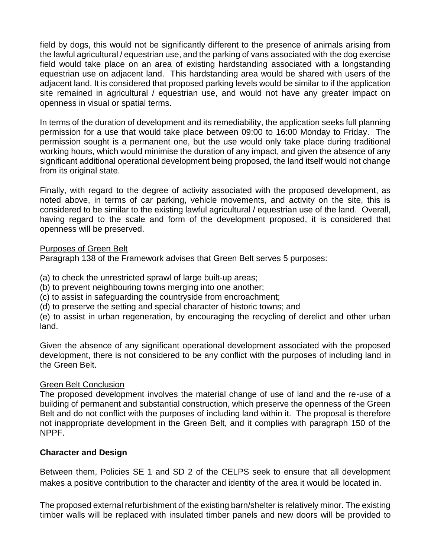field by dogs, this would not be significantly different to the presence of animals arising from the lawful agricultural / equestrian use, and the parking of vans associated with the dog exercise field would take place on an area of existing hardstanding associated with a longstanding equestrian use on adjacent land. This hardstanding area would be shared with users of the adjacent land. It is considered that proposed parking levels would be similar to if the application site remained in agricultural / equestrian use, and would not have any greater impact on openness in visual or spatial terms.

In terms of the duration of development and its remediability, the application seeks full planning permission for a use that would take place between 09:00 to 16:00 Monday to Friday. The permission sought is a permanent one, but the use would only take place during traditional working hours, which would minimise the duration of any impact, and given the absence of any significant additional operational development being proposed, the land itself would not change from its original state.

Finally, with regard to the degree of activity associated with the proposed development, as noted above, in terms of car parking, vehicle movements, and activity on the site, this is considered to be similar to the existing lawful agricultural / equestrian use of the land. Overall, having regard to the scale and form of the development proposed, it is considered that openness will be preserved.

#### Purposes of Green Belt

Paragraph 138 of the Framework advises that Green Belt serves 5 purposes:

(a) to check the unrestricted sprawl of large built-up areas;

(b) to prevent neighbouring towns merging into one another;

(c) to assist in safeguarding the countryside from encroachment;

(d) to preserve the setting and special character of historic towns; and

(e) to assist in urban regeneration, by encouraging the recycling of derelict and other urban land.

Given the absence of any significant operational development associated with the proposed development, there is not considered to be any conflict with the purposes of including land in the Green Belt.

#### Green Belt Conclusion

The proposed development involves the material change of use of land and the re-use of a building of permanent and substantial construction, which preserve the openness of the Green Belt and do not conflict with the purposes of including land within it. The proposal is therefore not inappropriate development in the Green Belt, and it complies with paragraph 150 of the NPPF.

#### **Character and Design**

Between them, Policies SE 1 and SD 2 of the CELPS seek to ensure that all development makes a positive contribution to the character and identity of the area it would be located in.

The proposed external refurbishment of the existing barn/shelter is relatively minor. The existing timber walls will be replaced with insulated timber panels and new doors will be provided to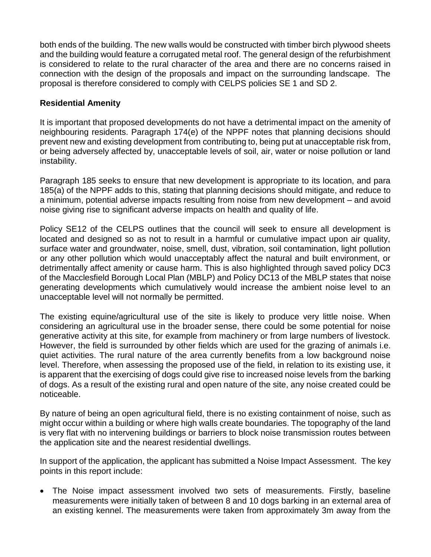both ends of the building. The new walls would be constructed with timber birch plywood sheets and the building would feature a corrugated metal roof. The general design of the refurbishment is considered to relate to the rural character of the area and there are no concerns raised in connection with the design of the proposals and impact on the surrounding landscape. The proposal is therefore considered to comply with CELPS policies SE 1 and SD 2.

### **Residential Amenity**

It is important that proposed developments do not have a detrimental impact on the amenity of neighbouring residents. Paragraph 174(e) of the NPPF notes that planning decisions should prevent new and existing development from contributing to, being put at unacceptable risk from, or being adversely affected by, unacceptable levels of soil, air, water or noise pollution or land instability.

Paragraph 185 seeks to ensure that new development is appropriate to its location, and para 185(a) of the NPPF adds to this, stating that planning decisions should mitigate, and reduce to a minimum, potential adverse impacts resulting from noise from new development – and avoid noise giving rise to significant adverse impacts on health and quality of life.

Policy SE12 of the CELPS outlines that the council will seek to ensure all development is located and designed so as not to result in a harmful or cumulative impact upon air quality, surface water and groundwater, noise, smell, dust, vibration, soil contamination, light pollution or any other pollution which would unacceptably affect the natural and built environment, or detrimentally affect amenity or cause harm. This is also highlighted through saved policy DC3 of the Macclesfield Borough Local Plan (MBLP) and Policy DC13 of the MBLP states that noise generating developments which cumulatively would increase the ambient noise level to an unacceptable level will not normally be permitted.

The existing equine/agricultural use of the site is likely to produce very little noise. When considering an agricultural use in the broader sense, there could be some potential for noise generative activity at this site, for example from machinery or from large numbers of livestock. However, the field is surrounded by other fields which are used for the grazing of animals i.e. quiet activities. The rural nature of the area currently benefits from a low background noise level. Therefore, when assessing the proposed use of the field, in relation to its existing use, it is apparent that the exercising of dogs could give rise to increased noise levels from the barking of dogs. As a result of the existing rural and open nature of the site, any noise created could be noticeable.

By nature of being an open agricultural field, there is no existing containment of noise, such as might occur within a building or where high walls create boundaries. The topography of the land is very flat with no intervening buildings or barriers to block noise transmission routes between the application site and the nearest residential dwellings.

In support of the application, the applicant has submitted a Noise Impact Assessment. The key points in this report include:

 The Noise impact assessment involved two sets of measurements. Firstly, baseline measurements were initially taken of between 8 and 10 dogs barking in an external area of an existing kennel. The measurements were taken from approximately 3m away from the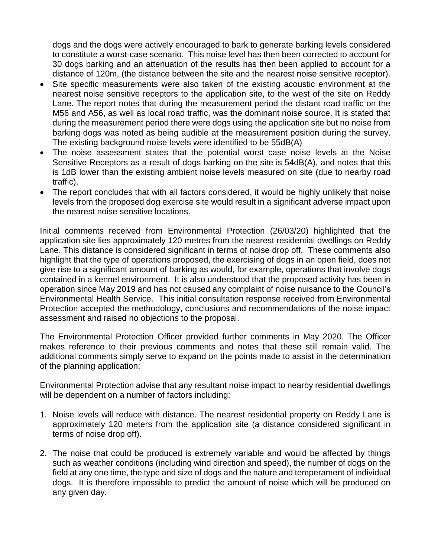dogs and the dogs were actively encouraged to bark to generate barking levels considered to constitute a worst-case scenario. This noise level has then been corrected to account for 30 dogs barking and an attenuation of the results has then been applied to account for a distance of 120m, (the distance between the site and the nearest noise sensitive receptor).

- Site specific measurements were also taken of the existing acoustic environment at the nearest noise sensitive receptors to the application site, to the west of the site on Reddy Lane. The report notes that during the measurement period the distant road traffic on the M56 and A56, as well as local road traffic, was the dominant noise source. It is stated that during the measurement period there were dogs using the application site but no noise from barking dogs was noted as being audible at the measurement position during the survey. The existing background noise levels were identified to be 55dB(A)
- The noise assessment states that the potential worst case noise levels at the Noise Sensitive Receptors as a result of dogs barking on the site is 54dB(A), and notes that this is 1dB lower than the existing ambient noise levels measured on site (due to nearby road traffic).
- The report concludes that with all factors considered, it would be highly unlikely that noise levels from the proposed dog exercise site would result in a significant adverse impact upon the nearest noise sensitive locations.

Initial comments received from Environmental Protection (26/03/20) highlighted that the application site lies approximately 120 metres from the nearest residential dwellings on Reddy Lane. This distance is considered significant in terms of noise drop off. These comments also highlight that the type of operations proposed, the exercising of dogs in an open field, does not give rise to a significant amount of barking as would, for example, operations that involve dogs contained in a kennel environment. It is also understood that the proposed activity has been in operation since May 2019 and has not caused any complaint of noise nuisance to the Council's Environmental Health Service. This initial consultation response received from Environmental Protection accepted the methodology, conclusions and recommendations of the noise impact assessment and raised no objections to the proposal.

The Environmental Protection Officer provided further comments in May 2020. The Officer makes reference to their previous comments and notes that these still remain valid. The additional comments simply serve to expand on the points made to assist in the determination of the planning application:

Environmental Protection advise that any resultant noise impact to nearby residential dwellings will be dependent on a number of factors including:

- 1. Noise levels will reduce with distance. The nearest residential property on Reddy Lane is approximately 120 meters from the application site (a distance considered significant in terms of noise drop off).
- 2. The noise that could be produced is extremely variable and would be affected by things such as weather conditions (including wind direction and speed), the number of dogs on the field at any one time, the type and size of dogs and the nature and temperament of individual dogs. It is therefore impossible to predict the amount of noise which will be produced on any given day.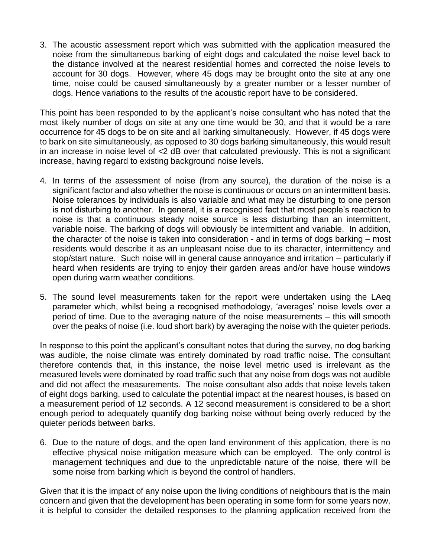3. The acoustic assessment report which was submitted with the application measured the noise from the simultaneous barking of eight dogs and calculated the noise level back to the distance involved at the nearest residential homes and corrected the noise levels to account for 30 dogs. However, where 45 dogs may be brought onto the site at any one time, noise could be caused simultaneously by a greater number or a lesser number of dogs. Hence variations to the results of the acoustic report have to be considered.

This point has been responded to by the applicant's noise consultant who has noted that the most likely number of dogs on site at any one time would be 30, and that it would be a rare occurrence for 45 dogs to be on site and all barking simultaneously. However, if 45 dogs were to bark on site simultaneously, as opposed to 30 dogs barking simultaneously, this would result in an increase in noise level of <2 dB over that calculated previously. This is not a significant increase, having regard to existing background noise levels.

- 4. In terms of the assessment of noise (from any source), the duration of the noise is a significant factor and also whether the noise is continuous or occurs on an intermittent basis. Noise tolerances by individuals is also variable and what may be disturbing to one person is not disturbing to another. In general, it is a recognised fact that most people's reaction to noise is that a continuous steady noise source is less disturbing than an intermittent, variable noise. The barking of dogs will obviously be intermittent and variable. In addition, the character of the noise is taken into consideration - and in terms of dogs barking – most residents would describe it as an unpleasant noise due to its character, intermittency and stop/start nature. Such noise will in general cause annoyance and irritation – particularly if heard when residents are trying to enjoy their garden areas and/or have house windows open during warm weather conditions.
- 5. The sound level measurements taken for the report were undertaken using the LAeq parameter which, whilst being a recognised methodology, 'averages' noise levels over a period of time. Due to the averaging nature of the noise measurements – this will smooth over the peaks of noise (i.e. loud short bark) by averaging the noise with the quieter periods.

In response to this point the applicant's consultant notes that during the survey, no dog barking was audible, the noise climate was entirely dominated by road traffic noise. The consultant therefore contends that, in this instance, the noise level metric used is irrelevant as the measured levels were dominated by road traffic such that any noise from dogs was not audible and did not affect the measurements. The noise consultant also adds that noise levels taken of eight dogs barking, used to calculate the potential impact at the nearest houses, is based on a measurement period of 12 seconds. A 12 second measurement is considered to be a short enough period to adequately quantify dog barking noise without being overly reduced by the quieter periods between barks.

6. Due to the nature of dogs, and the open land environment of this application, there is no effective physical noise mitigation measure which can be employed. The only control is management techniques and due to the unpredictable nature of the noise, there will be some noise from barking which is beyond the control of handlers.

Given that it is the impact of any noise upon the living conditions of neighbours that is the main concern and given that the development has been operating in some form for some years now, it is helpful to consider the detailed responses to the planning application received from the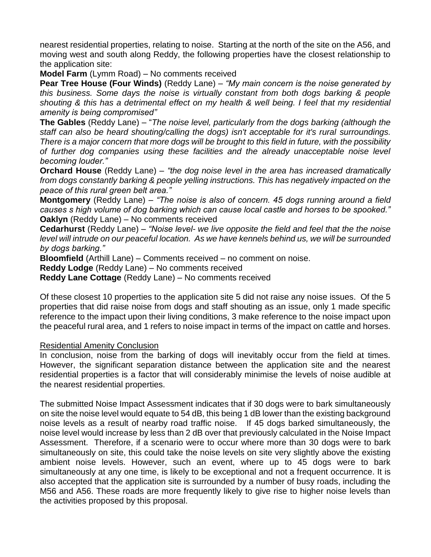nearest residential properties, relating to noise. Starting at the north of the site on the A56, and moving west and south along Reddy, the following properties have the closest relationship to the application site:

**Model Farm** (Lymm Road) – No comments received

**Pear Tree House (Four Winds)** (Reddy Lane) – *"My main concern is the noise generated by this business. Some days the noise is virtually constant from both dogs barking & people shouting & this has a detrimental effect on my health & well being. I feel that my residential amenity is being compromised"*

**The Gables** (Reddy Lane) – "*The noise level, particularly from the dogs barking (although the staff can also be heard shouting/calling the dogs) isn't acceptable for it's rural surroundings. There is a major concern that more dogs will be brought to this field in future, with the possibility of further dog companies using these facilities and the already unacceptable noise level becoming louder."*

**Orchard House** (Reddy Lane) – *"the dog noise level in the area has increased dramatically from dogs constantly barking & people yelling instructions. This has negatively impacted on the peace of this rural green belt area."*

**Montgomery** (Reddy Lane) – *"The noise is also of concern. 45 dogs running around a field causes s high volume of dog barking which can cause local castle and horses to be spooked."* **Oaklyn** (Reddy Lane) – No comments received

**Cedarhurst** (Reddy Lane) – *"Noise level- we live opposite the field and feel that the the noise level will intrude on our peaceful location. As we have kennels behind us, we will be surrounded by dogs barking."*

**Bloomfield** (Arthill Lane) – Comments received – no comment on noise.

**Reddy Lodge** (Reddy Lane) – No comments received

**Reddy Lane Cottage** (Reddy Lane) – No comments received

Of these closest 10 properties to the application site 5 did not raise any noise issues. Of the 5 properties that did raise noise from dogs and staff shouting as an issue, only 1 made specific reference to the impact upon their living conditions, 3 make reference to the noise impact upon the peaceful rural area, and 1 refers to noise impact in terms of the impact on cattle and horses.

#### Residential Amenity Conclusion

In conclusion, noise from the barking of dogs will inevitably occur from the field at times. However, the significant separation distance between the application site and the nearest residential properties is a factor that will considerably minimise the levels of noise audible at the nearest residential properties.

The submitted Noise Impact Assessment indicates that if 30 dogs were to bark simultaneously on site the noise level would equate to 54 dB, this being 1 dB lower than the existing background noise levels as a result of nearby road traffic noise. If 45 dogs barked simultaneously, the noise level would increase by less than 2 dB over that previously calculated in the Noise Impact Assessment. Therefore, if a scenario were to occur where more than 30 dogs were to bark simultaneously on site, this could take the noise levels on site very slightly above the existing ambient noise levels. However, such an event, where up to 45 dogs were to bark simultaneously at any one time, is likely to be exceptional and not a frequent occurrence. It is also accepted that the application site is surrounded by a number of busy roads, including the M56 and A56. These roads are more frequently likely to give rise to higher noise levels than the activities proposed by this proposal.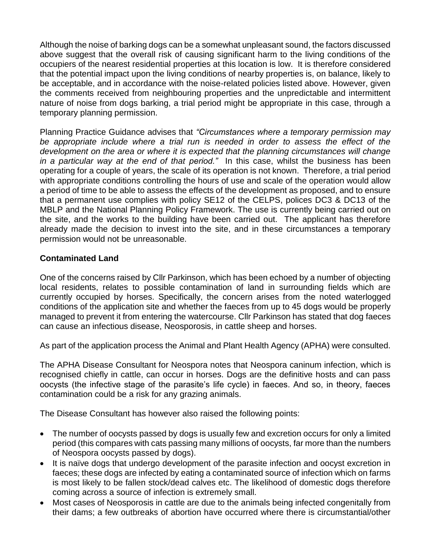Although the noise of barking dogs can be a somewhat unpleasant sound, the factors discussed above suggest that the overall risk of causing significant harm to the living conditions of the occupiers of the nearest residential properties at this location is low. It is therefore considered that the potential impact upon the living conditions of nearby properties is, on balance, likely to be acceptable, and in accordance with the noise-related policies listed above. However, given the comments received from neighbouring properties and the unpredictable and intermittent nature of noise from dogs barking, a trial period might be appropriate in this case, through a temporary planning permission.

Planning Practice Guidance advises that *"Circumstances where a temporary permission may*  be appropriate include where a trial run is needed in order to assess the effect of the *development on the area or where it is expected that the planning circumstances will change in a particular way at the end of that period."* In this case, whilst the business has been operating for a couple of years, the scale of its operation is not known. Therefore, a trial period with appropriate conditions controlling the hours of use and scale of the operation would allow a period of time to be able to assess the effects of the development as proposed, and to ensure that a permanent use complies with policy SE12 of the CELPS, polices DC3 & DC13 of the MBLP and the National Planning Policy Framework. The use is currently being carried out on the site, and the works to the building have been carried out. The applicant has therefore already made the decision to invest into the site, and in these circumstances a temporary permission would not be unreasonable.

# **Contaminated Land**

One of the concerns raised by Cllr Parkinson, which has been echoed by a number of objecting local residents, relates to possible contamination of land in surrounding fields which are currently occupied by horses. Specifically, the concern arises from the noted waterlogged conditions of the application site and whether the faeces from up to 45 dogs would be properly managed to prevent it from entering the watercourse. Cllr Parkinson has stated that dog faeces can cause an infectious disease, Neosporosis, in cattle sheep and horses.

As part of the application process the Animal and Plant Health Agency (APHA) were consulted.

The APHA Disease Consultant for Neospora notes that Neospora caninum infection, which is recognised chiefly in cattle, can occur in horses. Dogs are the definitive hosts and can pass oocysts (the infective stage of the parasite's life cycle) in faeces. And so, in theory, faeces contamination could be a risk for any grazing animals.

The Disease Consultant has however also raised the following points:

- The number of oocysts passed by dogs is usually few and excretion occurs for only a limited period (this compares with cats passing many millions of oocysts, far more than the numbers of Neospora oocysts passed by dogs).
- It is naïve dogs that undergo development of the parasite infection and oocyst excretion in faeces; these dogs are infected by eating a contaminated source of infection which on farms is most likely to be fallen stock/dead calves etc. The likelihood of domestic dogs therefore coming across a source of infection is extremely small.
- Most cases of Neosporosis in cattle are due to the animals being infected congenitally from their dams; a few outbreaks of abortion have occurred where there is circumstantial/other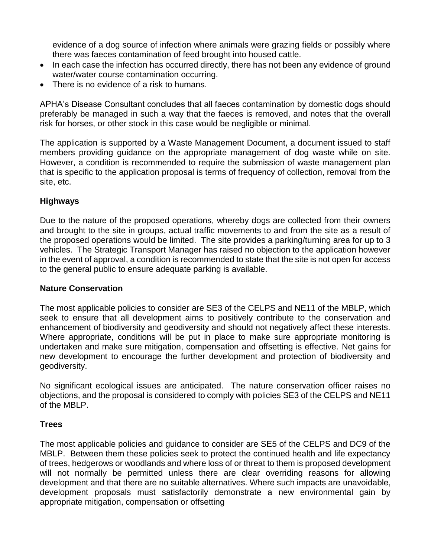evidence of a dog source of infection where animals were grazing fields or possibly where there was faeces contamination of feed brought into housed cattle.

- In each case the infection has occurred directly, there has not been any evidence of ground water/water course contamination occurring.
- There is no evidence of a risk to humans.

APHA's Disease Consultant concludes that all faeces contamination by domestic dogs should preferably be managed in such a way that the faeces is removed, and notes that the overall risk for horses, or other stock in this case would be negligible or minimal.

The application is supported by a Waste Management Document, a document issued to staff members providing guidance on the appropriate management of dog waste while on site. However, a condition is recommended to require the submission of waste management plan that is specific to the application proposal is terms of frequency of collection, removal from the site, etc.

### **Highways**

Due to the nature of the proposed operations, whereby dogs are collected from their owners and brought to the site in groups, actual traffic movements to and from the site as a result of the proposed operations would be limited. The site provides a parking/turning area for up to 3 vehicles. The Strategic Transport Manager has raised no objection to the application however in the event of approval, a condition is recommended to state that the site is not open for access to the general public to ensure adequate parking is available.

#### **Nature Conservation**

The most applicable policies to consider are SE3 of the CELPS and NE11 of the MBLP, which seek to ensure that all development aims to positively contribute to the conservation and enhancement of biodiversity and geodiversity and should not negatively affect these interests. Where appropriate, conditions will be put in place to make sure appropriate monitoring is undertaken and make sure mitigation, compensation and offsetting is effective. Net gains for new development to encourage the further development and protection of biodiversity and geodiversity.

No significant ecological issues are anticipated. The nature conservation officer raises no objections, and the proposal is considered to comply with policies SE3 of the CELPS and NE11 of the MBLP.

#### **Trees**

The most applicable policies and guidance to consider are SE5 of the CELPS and DC9 of the MBLP. Between them these policies seek to protect the continued health and life expectancy of trees, hedgerows or woodlands and where loss of or threat to them is proposed development will not normally be permitted unless there are clear overriding reasons for allowing development and that there are no suitable alternatives. Where such impacts are unavoidable, development proposals must satisfactorily demonstrate a new environmental gain by appropriate mitigation, compensation or offsetting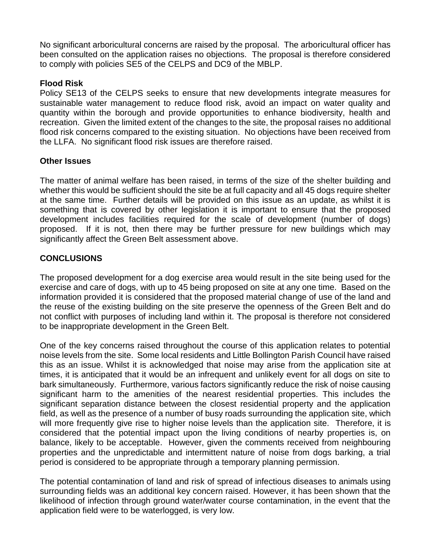No significant arboricultural concerns are raised by the proposal. The arboricultural officer has been consulted on the application raises no objections. The proposal is therefore considered to comply with policies SE5 of the CELPS and DC9 of the MBLP.

### **Flood Risk**

Policy SE13 of the CELPS seeks to ensure that new developments integrate measures for sustainable water management to reduce flood risk, avoid an impact on water quality and quantity within the borough and provide opportunities to enhance biodiversity, health and recreation. Given the limited extent of the changes to the site, the proposal raises no additional flood risk concerns compared to the existing situation. No objections have been received from the LLFA. No significant flood risk issues are therefore raised.

#### **Other Issues**

The matter of animal welfare has been raised, in terms of the size of the shelter building and whether this would be sufficient should the site be at full capacity and all 45 dogs require shelter at the same time. Further details will be provided on this issue as an update, as whilst it is something that is covered by other legislation it is important to ensure that the proposed development includes facilities required for the scale of development (number of dogs) proposed. If it is not, then there may be further pressure for new buildings which may significantly affect the Green Belt assessment above.

# **CONCLUSIONS**

The proposed development for a dog exercise area would result in the site being used for the exercise and care of dogs, with up to 45 being proposed on site at any one time. Based on the information provided it is considered that the proposed material change of use of the land and the reuse of the existing building on the site preserve the openness of the Green Belt and do not conflict with purposes of including land within it. The proposal is therefore not considered to be inappropriate development in the Green Belt.

One of the key concerns raised throughout the course of this application relates to potential noise levels from the site. Some local residents and Little Bollington Parish Council have raised this as an issue. Whilst it is acknowledged that noise may arise from the application site at times, it is anticipated that it would be an infrequent and unlikely event for all dogs on site to bark simultaneously. Furthermore, various factors significantly reduce the risk of noise causing significant harm to the amenities of the nearest residential properties. This includes the significant separation distance between the closest residential property and the application field, as well as the presence of a number of busy roads surrounding the application site, which will more frequently give rise to higher noise levels than the application site. Therefore, it is considered that the potential impact upon the living conditions of nearby properties is, on balance, likely to be acceptable. However, given the comments received from neighbouring properties and the unpredictable and intermittent nature of noise from dogs barking, a trial period is considered to be appropriate through a temporary planning permission.

The potential contamination of land and risk of spread of infectious diseases to animals using surrounding fields was an additional key concern raised. However, it has been shown that the likelihood of infection through ground water/water course contamination, in the event that the application field were to be waterlogged, is very low.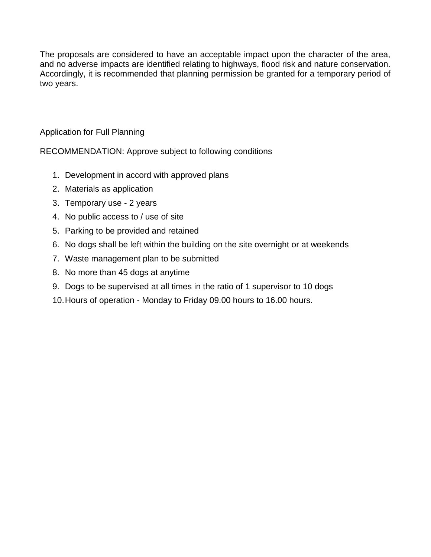The proposals are considered to have an acceptable impact upon the character of the area, and no adverse impacts are identified relating to highways, flood risk and nature conservation. Accordingly, it is recommended that planning permission be granted for a temporary period of two years.

Application for Full Planning

RECOMMENDATION: Approve subject to following conditions

- 1. Development in accord with approved plans
- 2. Materials as application
- 3. Temporary use 2 years
- 4. No public access to / use of site
- 5. Parking to be provided and retained
- 6. No dogs shall be left within the building on the site overnight or at weekends
- 7. Waste management plan to be submitted
- 8. No more than 45 dogs at anytime
- 9. Dogs to be supervised at all times in the ratio of 1 supervisor to 10 dogs
- 10.Hours of operation Monday to Friday 09.00 hours to 16.00 hours.